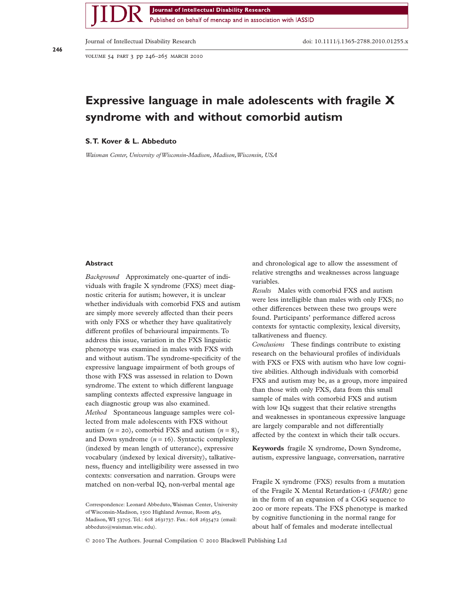Journal of Intellectual Disability Research doi: 10.1111/j.1365-2788.2010.01255.x

volume 54 part 3 pp 246–265 march 2010

# **Expressive language in male adolescents with fragile X** syndrome with and without comorbid autism

# **S.T. Kover & L. Abbeduto**

*Waisman Center, University ofWisconsin-Madison, Madison,Wisconsin, USA*

## **Abstract**

*Background* Approximately one-quarter of individuals with fragile X syndrome (FXS) meet diagnostic criteria for autism; however, it is unclear whether individuals with comorbid FXS and autism are simply more severely affected than their peers with only FXS or whether they have qualitatively different profiles of behavioural impairments. To address this issue, variation in the FXS linguistic phenotype was examined in males with FXS with and without autism. The syndrome-specificity of the expressive language impairment of both groups of those with FXS was assessed in relation to Down syndrome. The extent to which different language sampling contexts affected expressive language in each diagnostic group was also examined. *Method* Spontaneous language samples were collected from male adolescents with FXS without autism  $(n = 20)$ , comorbid FXS and autism  $(n = 8)$ , and Down syndrome  $(n = 16)$ . Syntactic complexity (indexed by mean length of utterance), expressive vocabulary (indexed by lexical diversity), talkativeness, fluency and intelligibility were assessed in two contexts: conversation and narration. Groups were matched on non-verbal IQ, non-verbal mental age

and chronological age to allow the assessment of relative strengths and weaknesses across language variables.

*Results* Males with comorbid FXS and autism were less intelligible than males with only FXS; no other differences between these two groups were found. Participants' performance differed across contexts for syntactic complexity, lexical diversity, talkativeness and fluency.

*Conclusions* These findings contribute to existing research on the behavioural profiles of individuals with FXS or FXS with autism who have low cognitive abilities. Although individuals with comorbid FXS and autism may be, as a group, more impaired than those with only FXS, data from this small sample of males with comorbid FXS and autism with low IQs suggest that their relative strengths and weaknesses in spontaneous expressive language are largely comparable and not differentially affected by the context in which their talk occurs.

**Keywords** fragile X syndrome, Down Syndrome, autism, expressive language, conversation, narrative

Fragile X syndrome (FXS) results from a mutation of the Fragile X Mental Retardation-1 (*FMR1*) gene in the form of an expansion of a CGG sequence to 200 or more repeats. The FXS phenotype is marked by cognitive functioning in the normal range for about half of females and moderate intellectual

Correspondence: Leonard Abbeduto, Waisman Center, University of Wisconsin-Madison, 1500 Highland Avenue, Room 463, Madison, WI 53705. Tel.: 608 2631737. Fax.: 608 2635472 (email: abbeduto@waisman.wisc.edu).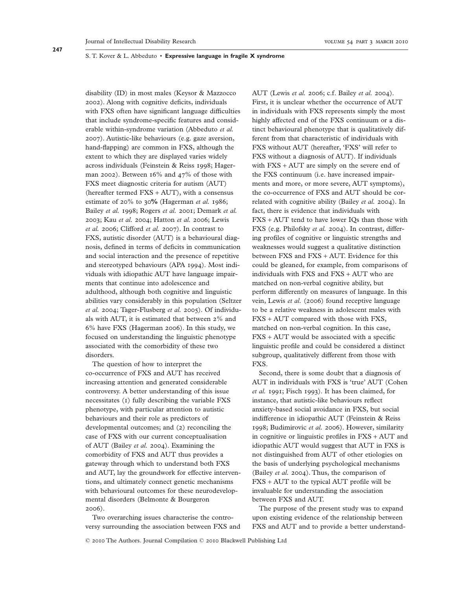disability (ID) in most males (Keysor & Mazzocco 2002). Along with cognitive deficits, individuals with FXS often have significant language difficulties that include syndrome-specific features and considerable within-syndrome variation (Abbeduto *et al.* 2007). Autistic-like behaviours (e.g. gaze aversion, hand-flapping) are common in FXS, although the extent to which they are displayed varies widely across individuals (Feinstein & Reiss 1998; Hagerman 2002). Between 16% and 47% of those with FXS meet diagnostic criteria for autism (AUT) (hereafter termed  $\text{FXS} + \text{AUT}$ ), with a consensus estimate of 20% to 30**%** (Hagerman *et al.* 1986; Bailey *et al.* 1998; Rogers *et al.* 2001; Demark *et al.* 2003; Kau *et al.* 2004; Hatton *et al.* 2006; Lewis *et al.* 2006; Clifford *et al.* 2007). In contrast to FXS, autistic disorder (AUT) is a behavioural diagnosis, defined in terms of deficits in communication and social interaction and the presence of repetitive and stereotyped behaviours (APA 1994). Most individuals with idiopathic AUT have language impairments that continue into adolescence and adulthood, although both cognitive and linguistic abilities vary considerably in this population (Seltzer *et al.* 2004; Tager-Flusberg *et al.* 2005). Of individuals with AUT, it is estimated that between 2% and 6% have FXS (Hagerman 2006). In this study, we focused on understanding the linguistic phenotype associated with the comorbidity of these two disorders.

The question of how to interpret the co-occurrence of FXS and AUT has received increasing attention and generated considerable controversy. A better understanding of this issue necessitates (1) fully describing the variable FXS phenotype, with particular attention to autistic behaviours and their role as predictors of developmental outcomes; and (2) reconciling the case of FXS with our current conceptualisation of AUT (Bailey *et al.* 2004). Examining the comorbidity of FXS and AUT thus provides a gateway through which to understand both FXS and AUT, lay the groundwork for effective interventions, and ultimately connect genetic mechanisms with behavioural outcomes for these neurodevelopmental disorders (Belmonte & Bourgeron 2006).

Two overarching issues characterise the controversy surrounding the association between FXS and AUT (Lewis *et al.* 2006; c.f. Bailey *et al.* 2004). First, it is unclear whether the occurrence of AUT in individuals with FXS represents simply the most highly affected end of the FXS continuum or a distinct behavioural phenotype that is qualitatively different from that characteristic of individuals with FXS without AUT (hereafter, 'FXS' will refer to FXS without a diagnosis of AUT). If individuals with FXS + AUT are simply on the severe end of the FXS continuum (i.e. have increased impairments and more, or more severe, AUT symptoms), the co-occurrence of FXS and AUT should be correlated with cognitive ability (Bailey *et al.* 2004). In fact, there is evidence that individuals with FXS + AUT tend to have lower IQs than those with FXS (e.g. Philofsky *et al.* 2004). In contrast, differing profiles of cognitive or linguistic strengths and weaknesses would suggest a qualitative distinction between FXS and FXS + AUT. Evidence for this could be gleaned, for example, from comparisons of individuals with FXS and FXS + AUT who are matched on non-verbal cognitive ability, but perform differently on measures of language. In this vein, Lewis *et al.* (2006) found receptive language to be a relative weakness in adolescent males with FXS + AUT compared with those with FXS, matched on non-verbal cognition. In this case, FXS + AUT would be associated with a specific linguistic profile and could be considered a distinct subgroup, qualitatively different from those with FXS.

Second, there is some doubt that a diagnosis of AUT in individuals with FXS is 'true' AUT (Cohen *et al.* 1991; Fisch 1993). It has been claimed, for instance, that autistic-like behaviours reflect anxiety-based social avoidance in FXS, but social indifference in idiopathic AUT (Feinstein & Reiss 1998; Budimirovic *et al.* 2006). However, similarity in cognitive or linguistic profiles in FXS + AUT and idiopathic AUT would suggest that AUT in FXS is not distinguished from AUT of other etiologies on the basis of underlying psychological mechanisms (Bailey *et al.* 2004). Thus, the comparison of FXS + AUT to the typical AUT profile will be invaluable for understanding the association between FXS and AUT.

The purpose of the present study was to expand upon existing evidence of the relationship between FXS and AUT and to provide a better understand-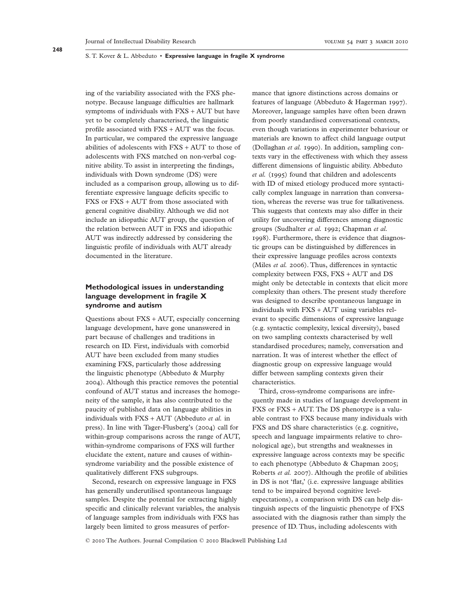ing of the variability associated with the FXS phenotype. Because language difficulties are hallmark symptoms of individuals with  $FXS + AUT$  but have yet to be completely characterised, the linguistic profile associated with FXS + AUT was the focus. In particular, we compared the expressive language abilities of adolescents with FXS + AUT to those of adolescents with FXS matched on non-verbal cognitive ability. To assist in interpreting the findings, individuals with Down syndrome (DS) were included as a comparison group, allowing us to differentiate expressive language deficits specific to FXS or FXS + AUT from those associated with general cognitive disability. Although we did not include an idiopathic AUT group, the question of the relation between AUT in FXS and idiopathic AUT was indirectly addressed by considering the linguistic profile of individuals with AUT already documented in the literature.

# **Methodological issues in understanding language development in fragile X syndrome and autism**

Questions about FXS + AUT, especially concerning language development, have gone unanswered in part because of challenges and traditions in research on ID. First, individuals with comorbid AUT have been excluded from many studies examining FXS, particularly those addressing the linguistic phenotype (Abbeduto & Murphy 2004). Although this practice removes the potential confound of AUT status and increases the homogeneity of the sample, it has also contributed to the paucity of published data on language abilities in individuals with FXS + AUT (Abbeduto *et al.* in press). In line with Tager-Flusberg's (2004) call for within-group comparisons across the range of AUT, within-syndrome comparisons of FXS will further elucidate the extent, nature and causes of withinsyndrome variability and the possible existence of qualitatively different FXS subgroups.

Second, research on expressive language in FXS has generally underutilised spontaneous language samples. Despite the potential for extracting highly specific and clinically relevant variables, the analysis of language samples from individuals with FXS has largely been limited to gross measures of performance that ignore distinctions across domains or features of language (Abbeduto & Hagerman 1997). Moreover, language samples have often been drawn from poorly standardised conversational contexts, even though variations in experimenter behaviour or materials are known to affect child language output (Dollaghan *et al.* 1990). In addition, sampling contexts vary in the effectiveness with which they assess different dimensions of linguistic ability. Abbeduto *et al.* (1995) found that children and adolescents with ID of mixed etiology produced more syntactically complex language in narration than conversation, whereas the reverse was true for talkativeness. This suggests that contexts may also differ in their utility for uncovering differences among diagnostic groups (Sudhalter *et al.* 1992; Chapman *et al.* 1998). Furthermore, there is evidence that diagnostic groups can be distinguished by differences in their expressive language profiles across contexts (Miles *et al.* 2006). Thus, differences in syntactic complexity between FXS, FXS + AUT and DS might only be detectable in contexts that elicit more complexity than others. The present study therefore was designed to describe spontaneous language in individuals with FXS + AUT using variables relevant to specific dimensions of expressive language (e.g. syntactic complexity, lexical diversity), based on two sampling contexts characterised by well standardised procedures; namely, conversation and narration. It was of interest whether the effect of diagnostic group on expressive language would differ between sampling contexts given their characteristics.

Third, cross-syndrome comparisons are infrequently made in studies of language development in FXS or FXS + AUT. The DS phenotype is a valuable contrast to FXS because many individuals with FXS and DS share characteristics (e.g. cognitive, speech and language impairments relative to chronological age), but strengths and weaknesses in expressive language across contexts may be specific to each phenotype (Abbeduto & Chapman 2005; Roberts *et al.* 2007). Although the profile of abilities in DS is not 'flat,' (i.e. expressive language abilities tend to be impaired beyond cognitive levelexpectations), a comparison with DS can help distinguish aspects of the linguistic phenotype of FXS associated with the diagnosis rather than simply the presence of ID. Thus, including adolescents with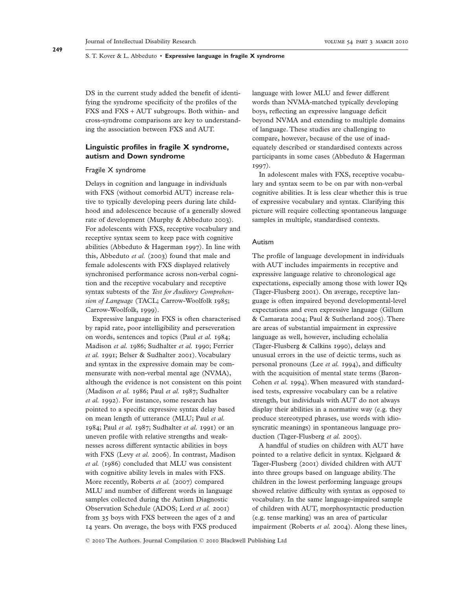DS in the current study added the benefit of identifying the syndrome specificity of the profiles of the FXS and FXS + AUT subgroups. Both within- and cross-syndrome comparisons are key to understanding the association between FXS and AUT.

# **Linguistic profiles in fragile X syndrome, autism and Down syndrome**

## Fragile X syndrome

Delays in cognition and language in individuals with FXS (without comorbid AUT) increase relative to typically developing peers during late childhood and adolescence because of a generally slowed rate of development (Murphy & Abbeduto 2003). For adolescents with FXS, receptive vocabulary and receptive syntax seem to keep pace with cognitive abilities (Abbeduto & Hagerman 1997). In line with this, Abbeduto *et al.* (2003) found that male and female adolescents with FXS displayed relatively synchronised performance across non-verbal cognition and the receptive vocabulary and receptive syntax subtests of the *Test for Auditory Comprehension of Language* (TACL; Carrow-Woolfolk 1985; Carrow-Woolfolk, 1999).

Expressive language in FXS is often characterised by rapid rate, poor intelligibility and perseveration on words, sentences and topics (Paul *et al.* 1984; Madison *et al.* 1986; Sudhalter *et al.* 1990; Ferrier *et al.* 1991; Belser & Sudhalter 2001). Vocabulary and syntax in the expressive domain may be commensurate with non-verbal mental age (NVMA), although the evidence is not consistent on this point (Madison *et al.* 1986; Paul *et al.* 1987; Sudhalter *et al.* 1992). For instance, some research has pointed to a specific expressive syntax delay based on mean length of utterance (MLU; Paul *et al.* 1984; Paul *et al.* 1987; Sudhalter *et al.* 1991) or an uneven profile with relative strengths and weaknesses across different syntactic abilities in boys with FXS (Levy *et al.* 2006). In contrast, Madison *et al.* (1986) concluded that MLU was consistent with cognitive ability levels in males with FXS. More recently, Roberts *et al.* (2007) compared MLU and number of different words in language samples collected during the Autism Diagnostic Observation Schedule (ADOS; Lord *et al.* 2001) from 35 boys with FXS between the ages of 2 and 14 years. On average, the boys with FXS produced

language with lower MLU and fewer different words than NVMA-matched typically developing boys, reflecting an expressive language deficit beyond NVMA and extending to multiple domains of language. These studies are challenging to compare, however, because of the use of inadequately described or standardised contexts across participants in some cases (Abbeduto & Hagerman 1997).

In adolescent males with FXS, receptive vocabulary and syntax seem to be on par with non-verbal cognitive abilities. It is less clear whether this is true of expressive vocabulary and syntax. Clarifying this picture will require collecting spontaneous language samples in multiple, standardised contexts.

## Autism

The profile of language development in individuals with AUT includes impairments in receptive and expressive language relative to chronological age expectations, especially among those with lower IQs (Tager-Flusberg 2001). On average, receptive language is often impaired beyond developmental-level expectations and even expressive language (Gillum & Camarata 2004; Paul & Sutherland 2005). There are areas of substantial impairment in expressive language as well, however, including echolalia (Tager-Flusberg & Calkins 1990), delays and unusual errors in the use of deictic terms, such as personal pronouns (Lee *et al.* 1994), and difficulty with the acquisition of mental state terms (Baron-Cohen *et al.* 1994). When measured with standardised tests, expressive vocabulary can be a relative strength, but individuals with AUT do not always display their abilities in a normative way (e.g. they produce stereotyped phrases, use words with idiosyncratic meanings) in spontaneous language production (Tager-Flusberg *et al.* 2005).

A handful of studies on children with AUT have pointed to a relative deficit in syntax. Kjelgaard & Tager-Flusberg (2001) divided children with AUT into three groups based on language ability. The children in the lowest performing language groups showed relative difficulty with syntax as opposed to vocabulary. In the same language-impaired sample of children with AUT, morphosyntactic production (e.g. tense marking) was an area of particular impairment (Roberts *et al.* 2004). Along these lines,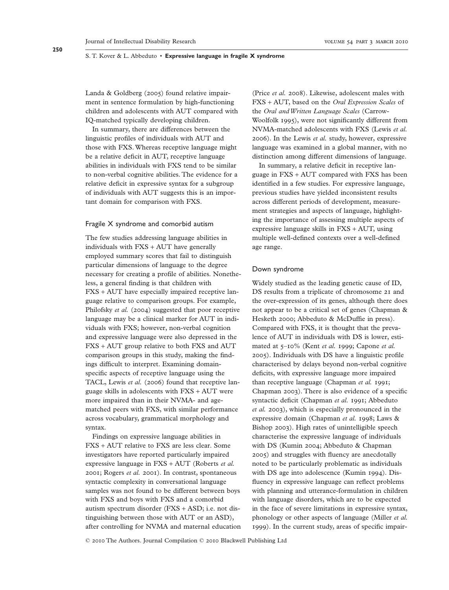Landa & Goldberg (2005) found relative impairment in sentence formulation by high-functioning children and adolescents with AUT compared with IQ-matched typically developing children.

In summary, there are differences between the linguistic profiles of individuals with AUT and those with FXS. Whereas receptive language might be a relative deficit in AUT, receptive language abilities in individuals with FXS tend to be similar to non-verbal cognitive abilities. The evidence for a relative deficit in expressive syntax for a subgroup of individuals with AUT suggests this is an important domain for comparison with FXS.

## Fragile X syndrome and comorbid autism

The few studies addressing language abilities in individuals with  $FXS + AUT$  have generally employed summary scores that fail to distinguish particular dimensions of language to the degree necessary for creating a profile of abilities. Nonetheless, a general finding is that children with FXS + AUT have especially impaired receptive language relative to comparison groups. For example, Philofsky *et al.* (2004) suggested that poor receptive language may be a clinical marker for AUT in individuals with FXS; however, non-verbal cognition and expressive language were also depressed in the FXS + AUT group relative to both FXS and AUT comparison groups in this study, making the findings difficult to interpret. Examining domainspecific aspects of receptive language using the TACL, Lewis et al. (2006) found that receptive language skills in adolescents with FXS + AUT were more impaired than in their NVMA- and agematched peers with FXS, with similar performance across vocabulary, grammatical morphology and syntax.

Findings on expressive language abilities in FXS + AUT relative to FXS are less clear. Some investigators have reported particularly impaired expressive language in FXS + AUT (Roberts *et al.* 2001; Rogers *et al.* 2001). In contrast, spontaneous syntactic complexity in conversational language samples was not found to be different between boys with FXS and boys with FXS and a comorbid autism spectrum disorder (FXS + ASD; i.e. not distinguishing between those with AUT or an ASD), after controlling for NVMA and maternal education

(Price *et al.* 2008). Likewise, adolescent males with FXS + AUT, based on the *Oral Expression Scales* of the *Oral andWritten Language Scales* (Carrow-Woolfolk 1995), were not significantly different from NVMA-matched adolescents with FXS (Lewis *et al.* 2006). In the Lewis *et al.* study, however, expressive language was examined in a global manner, with no distinction among different dimensions of language.

In summary, a relative deficit in receptive language in  $FXS + AUT$  compared with  $FXS$  has been identified in a few studies. For expressive language, previous studies have yielded inconsistent results across different periods of development, measurement strategies and aspects of language, highlighting the importance of assessing multiple aspects of expressive language skills in FXS + AUT, using multiple well-defined contexts over a well-defined age range.

## Down syndrome

Widely studied as the leading genetic cause of ID, DS results from a triplicate of chromosome 21 and the over-expression of its genes, although there does not appear to be a critical set of genes (Chapman & Hesketh 2000; Abbeduto & McDuffie in press). Compared with FXS, it is thought that the prevalence of AUT in individuals with DS is lower, estimated at 5–10% (Kent *et al.* 1999; Capone *et al.* 2005). Individuals with DS have a linguistic profile characterised by delays beyond non-verbal cognitive deficits, with expressive language more impaired than receptive language (Chapman *et al.* 1991; Chapman 2003). There is also evidence of a specific syntactic deficit (Chapman *et al.* 1991; Abbeduto *et al.* 2003), which is especially pronounced in the expressive domain (Chapman *et al.* 1998; Laws & Bishop 2003). High rates of unintelligible speech characterise the expressive language of individuals with DS (Kumin 2004; Abbeduto & Chapman 2005) and struggles with fluency are anecdotally noted to be particularly problematic as individuals with DS age into adolescence (Kumin 1994). Disfluency in expressive language can reflect problems with planning and utterance-formulation in children with language disorders, which are to be expected in the face of severe limitations in expressive syntax, phonology or other aspects of language (Miller *et al.* 1999). In the current study, areas of specific impair-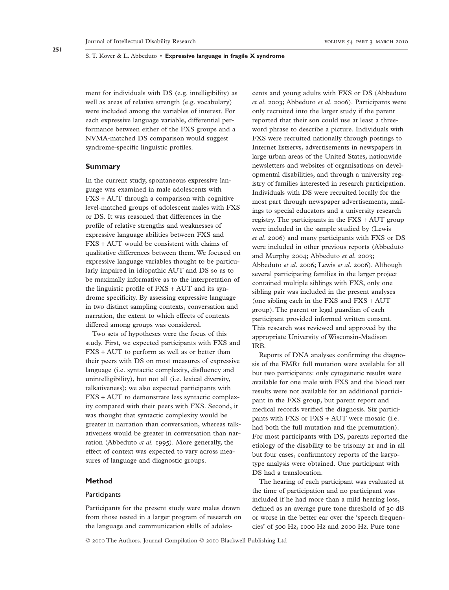ment for individuals with DS (e.g. intelligibility) as well as areas of relative strength (e.g. vocabulary) were included among the variables of interest. For each expressive language variable, differential performance between either of the FXS groups and a NVMA-matched DS comparison would suggest syndrome-specific linguistic profiles.

## **Summary**

In the current study, spontaneous expressive language was examined in male adolescents with FXS + AUT through a comparison with cognitive level-matched groups of adolescent males with FXS or DS. It was reasoned that differences in the profile of relative strengths and weaknesses of expressive language abilities between FXS and FXS + AUT would be consistent with claims of qualitative differences between them. We focused on expressive language variables thought to be particularly impaired in idiopathic AUT and DS so as to be maximally informative as to the interpretation of the linguistic profile of  $FXS + AUT$  and its syndrome specificity. By assessing expressive language in two distinct sampling contexts, conversation and narration, the extent to which effects of contexts differed among groups was considered.

Two sets of hypotheses were the focus of this study. First, we expected participants with FXS and FXS + AUT to perform as well as or better than their peers with DS on most measures of expressive language (i.e. syntactic complexity, disfluency and unintelligibility), but not all (i.e. lexical diversity, talkativeness); we also expected participants with FXS + AUT to demonstrate less syntactic complexity compared with their peers with FXS. Second, it was thought that syntactic complexity would be greater in narration than conversation, whereas talkativeness would be greater in conversation than narration (Abbeduto *et al.* 1995). More generally, the effect of context was expected to vary across measures of language and diagnostic groups.

## **Method**

#### **Participants**

Participants for the present study were males drawn from those tested in a larger program of research on the language and communication skills of adoles-

cents and young adults with FXS or DS (Abbeduto *et al*. 2003; Abbeduto *et al*. 2006). Participants were only recruited into the larger study if the parent reported that their son could use at least a threeword phrase to describe a picture. Individuals with FXS were recruited nationally through postings to Internet listservs, advertisements in newspapers in large urban areas of the United States, nationwide newsletters and websites of organisations on developmental disabilities, and through a university registry of families interested in research participation. Individuals with DS were recruited locally for the most part through newspaper advertisements, mailings to special educators and a university research registry. The participants in the  $FXS + AUT$  group were included in the sample studied by (Lewis *et al*. 2006) and many participants with FXS or DS were included in other previous reports (Abbeduto and Murphy 2004; Abbeduto *et al*. 2003; Abbeduto *et al*. 2006; Lewis *et al*. 2006). Although several participating families in the larger project contained multiple siblings with FXS, only one sibling pair was included in the present analyses (one sibling each in the FXS and  $FXS + AUT$ group). The parent or legal guardian of each participant provided informed written consent. This research was reviewed and approved by the appropriate University of Wisconsin-Madison IRB.

Reports of DNA analyses confirming the diagnosis of the FMR1 full mutation were available for all but two participants: only cytogenetic results were available for one male with FXS and the blood test results were not available for an additional participant in the FXS group, but parent report and medical records verified the diagnosis. Six participants with FXS or FXS + AUT were mosaic (i.e. had both the full mutation and the premutation). For most participants with DS, parents reported the etiology of the disability to be trisomy 21 and in all but four cases, confirmatory reports of the karyotype analysis were obtained. One participant with DS had a translocation.

The hearing of each participant was evaluated at the time of participation and no participant was included if he had more than a mild hearing loss, defined as an average pure tone threshold of 30 dB or worse in the better ear over the 'speech frequencies' of 500 Hz, 1000 Hz and 2000 Hz. Pure tone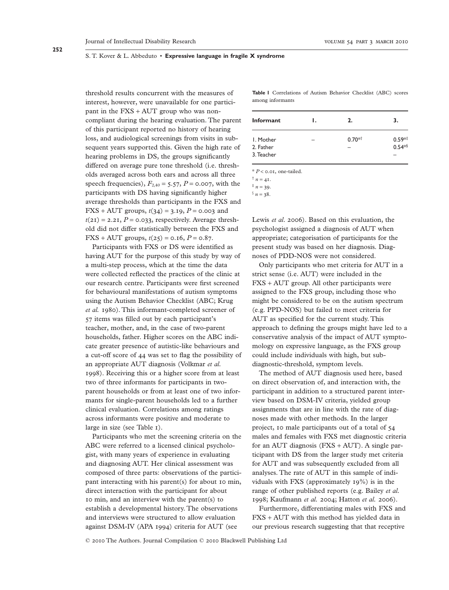**252**

#### S. T. Kover & L. Abbeduto • **Expressive language in fragile X syndrome**

threshold results concurrent with the measures of interest, however, were unavailable for one participant in the  $FXS + AUT$  group who was noncompliant during the hearing evaluation. The parent of this participant reported no history of hearing loss, and audiological screenings from visits in subsequent years supported this. Given the high rate of hearing problems in DS, the groups significantly differed on average pure tone threshold (i.e. thresholds averaged across both ears and across all three speech frequencies),  $F_{2,40} = 5.57$ ,  $P = 0.007$ , with the participants with DS having significantly higher average thresholds than participants in the FXS and FXS + AUT groups,  $t(34) = 3.19$ ,  $P = 0.003$  and  $t(21) = 2.21$ ,  $P = 0.033$ , respectively. Average threshold did not differ statistically between the FXS and  $FXS + AUT$  groups,  $t(25) = 0.16$ ,  $P = 0.87$ .

Participants with FXS or DS were identified as having AUT for the purpose of this study by way of a multi-step process, which at the time the data were collected reflected the practices of the clinic at our research centre. Participants were first screened for behavioural manifestations of autism symptoms using the Autism Behavior Checklist (ABC; Krug *et al.* 1980). This informant-completed screener of 57 items was filled out by each participant's teacher, mother, and, in the case of two-parent households, father. Higher scores on the ABC indicate greater presence of autistic-like behaviours and a cut-off score of 44 was set to flag the possibility of an appropriate AUT diagnosis (Volkmar *et al.* 1998). Receiving this or a higher score from at least two of three informants for participants in twoparent households or from at least one of two informants for single-parent households led to a further clinical evaluation. Correlations among ratings across informants were positive and moderate to large in size (see Table 1).

Participants who met the screening criteria on the ABC were referred to a licensed clinical psychologist, with many years of experience in evaluating and diagnosing AUT. Her clinical assessment was composed of three parts: observations of the participant interacting with his parent(s) for about 10 min, direct interaction with the participant for about 10 min, and an interview with the parent(s) to establish a developmental history. The observations and interviews were structured to allow evaluation against DSM-IV (APA 1994) criteria for AUT (see

**Table 1** Correlations of Autism Behavior Checklist (ABC) scores among informants

| Informant                            | Ι. | 2.       | 3.                   |  |  |
|--------------------------------------|----|----------|----------------------|--|--|
| I. Mother<br>2. Father<br>3. Teacher |    | $0.70**$ | $0.59**$<br>$0.54**$ |  |  |

\* *P* < 0.01, one-tailed.

 $^{\dagger}$  *n* = 41.

 $\frac{4}{7}$  *n* = 39.

Lewis *et al*. 2006). Based on this evaluation, the psychologist assigned a diagnosis of AUT when appropriate; categorisation of participants for the present study was based on her diagnosis. Diagnoses of PDD-NOS were not considered.

Only participants who met criteria for AUT in a strict sense (i.e. AUT) were included in the FXS + AUT group. All other participants were assigned to the FXS group, including those who might be considered to be on the autism spectrum (e.g. PPD-NOS) but failed to meet criteria for AUT as specified for the current study. This approach to defining the groups might have led to a conservative analysis of the impact of AUT symptomology on expressive language, as the FXS group could include individuals with high, but subdiagnostic-threshold, symptom levels.

The method of AUT diagnosis used here, based on direct observation of, and interaction with, the participant in addition to a structured parent interview based on DSM-IV criteria, yielded group assignments that are in line with the rate of diagnoses made with other methods. In the larger project, 10 male participants out of a total of 54 males and females with FXS met diagnostic criteria for an AUT diagnosis  $(FXS + AUT)$ . A single participant with DS from the larger study met criteria for AUT and was subsequently excluded from all analyses. The rate of AUT in this sample of individuals with FXS (approximately 19%) is in the range of other published reports (e.g. Bailey *et al.* 1998; Kaufmann *et al.* 2004; Hatton *et al.* 2006).

Furthermore, differentiating males with FXS and FXS + AUT with this method has yielded data in our previous research suggesting that that receptive

 $\sqrt[5]{n} = 38.$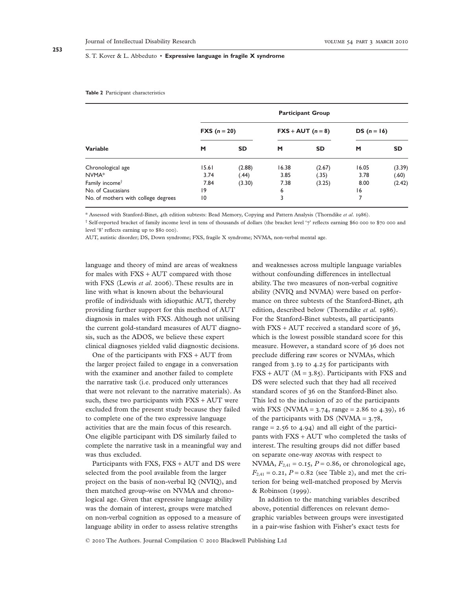|                                     | <b>Participant Group</b> |           |       |                                    |              |           |  |  |  |  |
|-------------------------------------|--------------------------|-----------|-------|------------------------------------|--------------|-----------|--|--|--|--|
|                                     | <b>FXS</b> $(n = 20)$    |           |       | $\mathsf{FXS} + \mathsf{AUT}(n=8)$ | $DS(n = 16)$ |           |  |  |  |  |
| Variable                            | M                        | <b>SD</b> | M     | <b>SD</b>                          | M            | <b>SD</b> |  |  |  |  |
| Chronological age                   | 15.61                    | (2.88)    | 16.38 | (2.67)                             | 16.05        | (3.39)    |  |  |  |  |
| NVMA*                               | 3.74                     | (.44)     | 3.85  | (.35)                              | 3.78         | (.60)     |  |  |  |  |
| Family income <sup>†</sup>          | 7.84                     | (3.30)    | 7.38  | (3.25)                             | 8.00         | (2.42)    |  |  |  |  |
| No. of Caucasians                   | 19                       |           | 6     |                                    | 16           |           |  |  |  |  |
| No. of mothers with college degrees | $\overline{0}$           |           | 3     |                                    | 7            |           |  |  |  |  |

#### **Table 2** Participant characteristics

\* Assessed with Stanford-Binet, 4th edition subtests: Bead Memory, Copying and Pattern Analysis (Thorndike *et al*. 1986).

† Self-reported bracket of family income level in tens of thousands of dollars (the bracket level '7' reflects earning \$60 000 to \$70 000 and level '8' reflects earning up to \$80 000).

AUT, autistic disorder; DS, Down syndrome; FXS, fragile X syndrome; NVMA, non-verbal mental age.

language and theory of mind are areas of weakness for males with  $FXS + AUT$  compared with those with FXS (Lewis *et al*. 2006). These results are in line with what is known about the behavioural profile of individuals with idiopathic AUT, thereby providing further support for this method of AUT diagnosis in males with FXS. Although not utilising the current gold-standard measures of AUT diagnosis, such as the ADOS, we believe these expert clinical diagnoses yielded valid diagnostic decisions.

One of the participants with FXS + AUT from the larger project failed to engage in a conversation with the examiner and another failed to complete the narrative task (i.e. produced only utterances that were not relevant to the narrative materials). As such, these two participants with  $FXS + AUT$  were excluded from the present study because they failed to complete one of the two expressive language activities that are the main focus of this research. One eligible participant with DS similarly failed to complete the narrative task in a meaningful way and was thus excluded.

Participants with FXS, FXS + AUT and DS were selected from the pool available from the larger project on the basis of non-verbal IQ (NVIQ), and then matched group-wise on NVMA and chronological age. Given that expressive language ability was the domain of interest, groups were matched on non-verbal cognition as opposed to a measure of language ability in order to assess relative strengths

and weaknesses across multiple language variables without confounding differences in intellectual ability. The two measures of non-verbal cognitive ability (NVIQ and NVMA) were based on performance on three subtests of the Stanford-Binet, 4th edition, described below (Thorndike *et al.* 1986). For the Stanford-Binet subtests, all participants with FXS + AUT received a standard score of 36, which is the lowest possible standard score for this measure. However, a standard score of 36 does not preclude differing raw scores or NVMAs, which ranged from 3.19 to 4.25 for participants with  $FXS + AUT$  ( $M = 3.85$ ). Participants with FXS and DS were selected such that they had all received standard scores of 36 on the Stanford-Binet also. This led to the inclusion of 20 of the participants with FXS (NVMA =  $3.74$ , range =  $2.86$  to  $4.39$ ), 16 of the participants with DS (NVMA =  $3.78$ , range  $= 2.56$  to 4.94) and all eight of the participants with FXS + AUT who completed the tasks of interest. The resulting groups did not differ based on separate one-way anovas with respect to NVMA,  $F_{2,41} = 0.15$ ,  $P = 0.86$ , or chronological age,  $F_{2,41} = 0.21, P = 0.82$  (see Table 2), and met the criterion for being well-matched proposed by Mervis & Robinson (1999).

In addition to the matching variables described above, potential differences on relevant demographic variables between groups were investigated in a pair-wise fashion with Fisher's exact tests for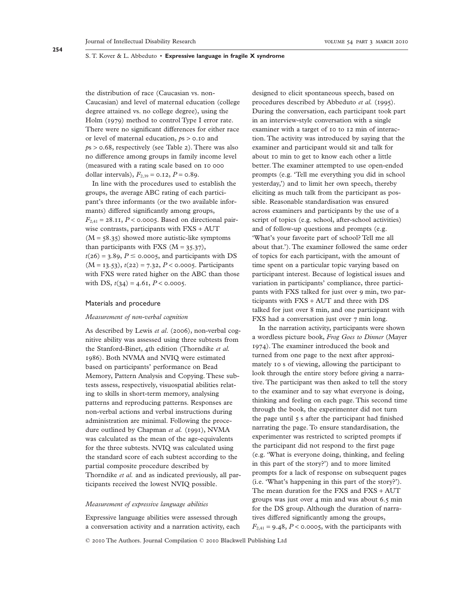the distribution of race (Caucasian vs. non-Caucasian) and level of maternal education (college degree attained vs. no college degree), using the Holm (1979) method to control Type I error rate. There were no significant differences for either race or level of maternal education, *p*s > 0.10 and *p*s > 0.68, respectively (see Table 2). There was also no difference among groups in family income level (measured with a rating scale based on 10 000 dollar intervals),  $F_{2,39} = 0.12$ ,  $P = 0.89$ .

In line with the procedures used to establish the groups, the average ABC rating of each participant's three informants (or the two available informants) differed significantly among groups,  $F_{2,41} = 28.11$ ,  $P < 0.0005$ . Based on directional pairwise contrasts, participants with FXS + AUT  $(M = 58.35)$  showed more autistic-like symptoms than participants with FXS  $(M = 35.37)$ ,  $t(26) = 3.89, P \le 0.0005$ , and participants with DS (M = 13.53), *t*(22) = 7.32, *P* < 0.0005. Participants with FXS were rated higher on the ABC than those with DS,  $t(34) = 4.6$ I,  $P < 0.0005$ .

## Materials and procedure

## *Measurement of non-verbal cognition*

As described by Lewis *et al*. (2006), non-verbal cognitive ability was assessed using three subtests from the Stanford-Binet, 4th edition (Thorndike *et al.* 1986). Both NVMA and NVIQ were estimated based on participants' performance on Bead Memory, Pattern Analysis and Copying. These subtests assess, respectively, visuospatial abilities relating to skills in short-term memory, analysing patterns and reproducing patterns. Responses are non-verbal actions and verbal instructions during administration are minimal. Following the procedure outlined by Chapman et al. (1991), NVMA was calculated as the mean of the age-equivalents for the three subtests. NVIQ was calculated using the standard score of each subtest according to the partial composite procedure described by Thorndike *et al.* and as indicated previously, all participants received the lowest NVIQ possible.

#### *Measurement of expressive language abilities*

Expressive language abilities were assessed through a conversation activity and a narration activity, each designed to elicit spontaneous speech, based on procedures described by Abbeduto *et al.* (1995). During the conversation, each participant took part in an interview-style conversation with a single examiner with a target of 10 to 12 min of interaction. The activity was introduced by saying that the examiner and participant would sit and talk for about 10 min to get to know each other a little better. The examiner attempted to use open-ended prompts (e.g. 'Tell me everything you did in school yesterday,') and to limit her own speech, thereby eliciting as much talk from the participant as possible. Reasonable standardisation was ensured across examiners and participants by the use of a script of topics (e.g. school, after-school activities) and of follow-up questions and prompts (e.g. 'What's your favorite part of school? Tell me all about that.'). The examiner followed the same order of topics for each participant, with the amount of time spent on a particular topic varying based on participant interest. Because of logistical issues and variation in participants' compliance, three participants with FXS talked for just over 9 min, two participants with FXS + AUT and three with DS talked for just over 8 min, and one participant with FXS had a conversation just over 7 min long.

In the narration activity, participants were shown a wordless picture book, *Frog Goes to Dinner* (Mayer 1974). The examiner introduced the book and turned from one page to the next after approximately 10 s of viewing, allowing the participant to look through the entire story before giving a narrative. The participant was then asked to tell the story to the examiner and to say what everyone is doing, thinking and feeling on each page. This second time through the book, the experimenter did not turn the page until 5 s after the participant had finished narrating the page. To ensure standardisation, the experimenter was restricted to scripted prompts if the participant did not respond to the first page (e.g. 'What is everyone doing, thinking, and feeling in this part of the story?') and to more limited prompts for a lack of response on subsequent pages (i.e. 'What's happening in this part of the story?'). The mean duration for the FXS and FXS + AUT groups was just over 4 min and was about 6.5 min for the DS group. Although the duration of narratives differed significantly among the groups,  $F_{2,41} = 9.48$ ,  $P \le 0.0005$ , with the participants with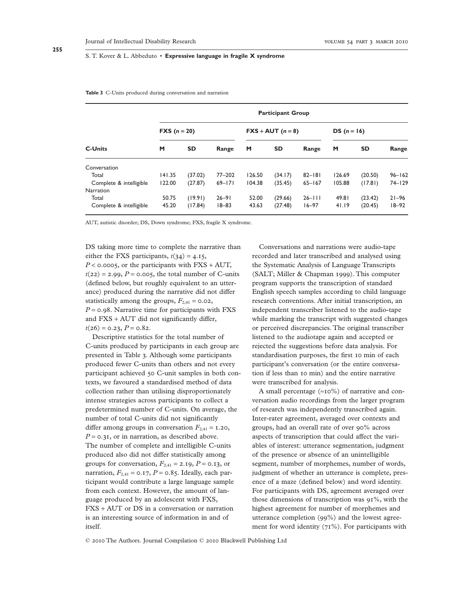| <b>C-Units</b>          | <b>Participant Group</b> |           |            |                                    |           |            |              |           |            |  |  |
|-------------------------|--------------------------|-----------|------------|------------------------------------|-----------|------------|--------------|-----------|------------|--|--|
|                         | <b>FXS</b> $(n = 20)$    |           |            | $\mathsf{FXS} + \mathsf{AUT}(n=8)$ |           |            | $DS(n = 16)$ |           |            |  |  |
|                         | M                        | <b>SD</b> | Range      | M                                  | <b>SD</b> | Range      | M            | <b>SD</b> | Range      |  |  |
| Conversation            |                          |           |            |                                    |           |            |              |           |            |  |  |
| Total                   | 141.35                   | (37.02)   | $77 - 202$ | 126.50                             | (34.17)   | $82 - 181$ | 126.69       | (20.50)   | $96 - 162$ |  |  |
| Complete & intelligible | 122.00                   | (27.87)   | $69 - 171$ | 104.38                             | (35.45)   | $65 - 167$ | 105.88       | (17.81)   | $74 - 129$ |  |  |
| Narration               |                          |           |            |                                    |           |            |              |           |            |  |  |
| Total                   | 50.75                    | (19.91)   | $26 - 91$  | 52.00                              | (29.66)   | $26 - 111$ | 49.81        | (23.42)   | $21 - 96$  |  |  |
| Complete & intelligible | 45.20                    | (17.84)   | $18 - 83$  | 43.63                              | (27.48)   | $16 - 97$  | 41.19        | (20.45)   | $18 - 92$  |  |  |

#### **Table 3** C-Units produced during conversation and narration

AUT, autistic disorder; DS, Down syndrome; FXS, fragile X syndrome.

DS taking more time to complete the narrative than either the FXS participants,  $t(34) = 4.15$ , *P* < 0.0005, or the participants with FXS + AUT,  $t(22) = 2.99$ ,  $P = 0.005$ , the total number of C-units (defined below, but roughly equivalent to an utterance) produced during the narrative did not differ statistically among the groups,  $F_{2,41} = 0.02$ ,  $P = 0.98$ . Narrative time for participants with FXS and FXS + AUT did not significantly differ,  $t(26) = 0.23$ ,  $P = 0.82$ .

Descriptive statistics for the total number of C-units produced by participants in each group are presented in Table 3. Although some participants produced fewer C-units than others and not every participant achieved 50 C-unit samples in both contexts, we favoured a standardised method of data collection rather than utilising disproportionately intense strategies across participants to collect a predetermined number of C-units. On average, the number of total C-units did not significantly differ among groups in conversation  $F_{2,41} = 1.20$ ,  $P = 0.31$ , or in narration, as described above. The number of complete and intelligible C-units produced also did not differ statistically among groups for conversation,  $F_{2,41} = 2.19$ ,  $P = 0.13$ , or narration,  $F_{2,41} = 0.17$ ,  $P = 0.85$ . Ideally, each participant would contribute a large language sample from each context. However, the amount of language produced by an adolescent with FXS, FXS + AUT or DS in a conversation or narration is an interesting source of information in and of itself.

Conversations and narrations were audio-tape recorded and later transcribed and analysed using the Systematic Analysis of Language Transcripts (SALT; Miller & Chapman 1999). This computer program supports the transcription of standard English speech samples according to child language research conventions. After initial transcription, an independent transcriber listened to the audio-tape while marking the transcript with suggested changes or perceived discrepancies. The original transcriber listened to the audiotape again and accepted or rejected the suggestions before data analysis. For standardisation purposes, the first 10 min of each participant's conversation (or the entire conversation if less than 10 min) and the entire narrative were transcribed for analysis.

A small percentage  $(\approx 10\%)$  of narrative and conversation audio recordings from the larger program of research was independently transcribed again. Inter-rater agreement, averaged over contexts and groups, had an overall rate of over 90% across aspects of transcription that could affect the variables of interest: utterance segmentation, judgment of the presence or absence of an unintelligible segment, number of morphemes, number of words, judgment of whether an utterance is complete, presence of a maze (defined below) and word identity. For participants with DS, agreement averaged over those dimensions of transcription was 91%, with the highest agreement for number of morphemes and utterance completion (99%) and the lowest agreement for word identity (71%). For participants with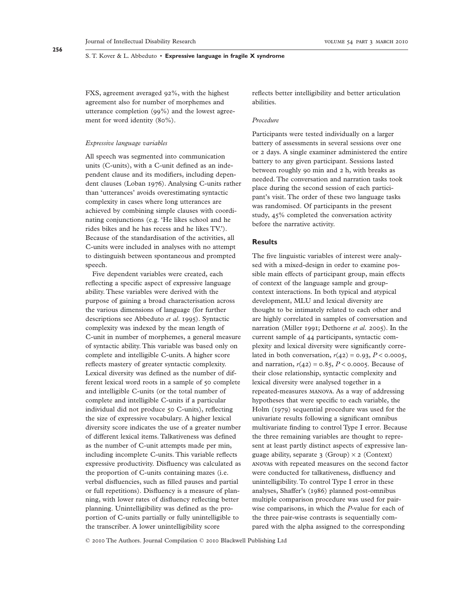FXS, agreement averaged 92%, with the highest agreement also for number of morphemes and utterance completion (99%) and the lowest agreement for word identity (80%).

#### *Expressive language variables*

All speech was segmented into communication units (C-units), with a C-unit defined as an independent clause and its modifiers, including dependent clauses (Loban 1976). Analysing C-units rather than 'utterances' avoids overestimating syntactic complexity in cases where long utterances are achieved by combining simple clauses with coordinating conjunctions (e.g. 'He likes school and he rides bikes and he has recess and he likes TV.'). Because of the standardisation of the activities, all C-units were included in analyses with no attempt to distinguish between spontaneous and prompted speech.

Five dependent variables were created, each reflecting a specific aspect of expressive language ability. These variables were derived with the purpose of gaining a broad characterisation across the various dimensions of language (for further descriptions see Abbeduto *et al*. 1995). Syntactic complexity was indexed by the mean length of C-unit in number of morphemes, a general measure of syntactic ability. This variable was based only on complete and intelligible C-units. A higher score reflects mastery of greater syntactic complexity. Lexical diversity was defined as the number of different lexical word roots in a sample of 50 complete and intelligible C-units (or the total number of complete and intelligible C-units if a particular individual did not produce 50 C-units), reflecting the size of expressive vocabulary. A higher lexical diversity score indicates the use of a greater number of different lexical items. Talkativeness was defined as the number of C-unit attempts made per min, including incomplete C-units. This variable reflects expressive productivity. Disfluency was calculated as the proportion of C-units containing mazes (i.e. verbal disfluencies, such as filled pauses and partial or full repetitions). Disfluency is a measure of planning, with lower rates of disfluency reflecting better planning. Unintelligibility was defined as the proportion of C-units partially or fully unintelligible to the transcriber. A lower unintelligibility score

reflects better intelligibility and better articulation abilities.

## *Procedure*

Participants were tested individually on a larger battery of assessments in several sessions over one or 2 days. A single examiner administered the entire battery to any given participant. Sessions lasted between roughly 90 min and 2 h, with breaks as needed. The conversation and narration tasks took place during the second session of each participant's visit. The order of these two language tasks was randomised. Of participants in the present study, 45% completed the conversation activity before the narrative activity.

## **Results**

The five linguistic variables of interest were analysed with a mixed-design in order to examine possible main effects of participant group, main effects of context of the language sample and groupcontext interactions. In both typical and atypical development, MLU and lexical diversity are thought to be intimately related to each other and are highly correlated in samples of conversation and narration (Miller 1991; Dethorne *et al.* 2005). In the current sample of 44 participants, syntactic complexity and lexical diversity were significantly correlated in both conversation,  $r(42) = 0.93$ ,  $P < 0.0005$ , and narration,  $r(42) = 0.85$ ,  $P < 0.0005$ . Because of their close relationship, syntactic complexity and lexical diversity were analysed together in a repeated-measures manova. As a way of addressing hypotheses that were specific to each variable, the Holm (1979) sequential procedure was used for the univariate results following a significant omnibus multivariate finding to control Type I error. Because the three remaining variables are thought to represent at least partly distinct aspects of expressive language ability, separate  $3$  (Group)  $\times$  2 (Context) anovas with repeated measures on the second factor were conducted for talkativeness, disfluency and unintelligibility. To control Type I error in these analyses, Shaffer's (1986) planned post-omnibus multiple comparison procedure was used for pairwise comparisons, in which the *P*-value for each of the three pair-wise contrasts is sequentially compared with the alpha assigned to the corresponding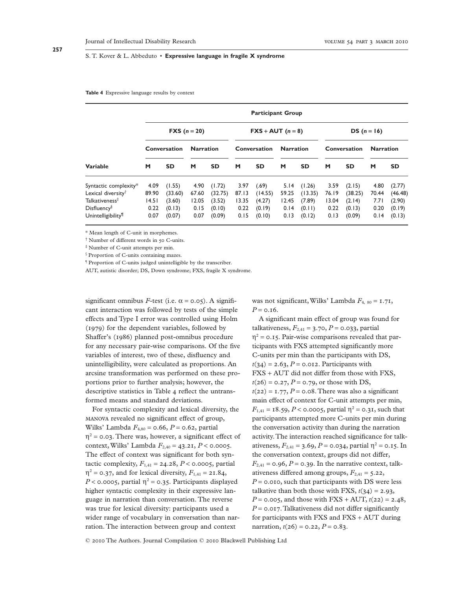#### **Table 4** Expressive language results by context

|                                                                                         | <b>Participant Group</b> |                            |                       |                            |                                    |                            |                       |                            |                       |                            |                      |                            |
|-----------------------------------------------------------------------------------------|--------------------------|----------------------------|-----------------------|----------------------------|------------------------------------|----------------------------|-----------------------|----------------------------|-----------------------|----------------------------|----------------------|----------------------------|
|                                                                                         | <b>FXS</b> $(n = 20)$    |                            |                       |                            | $\mathsf{FXS} + \mathsf{AUT}(n=8)$ |                            |                       |                            | $DS(n = 16)$          |                            |                      |                            |
|                                                                                         |                          | Conversation               | <b>Narration</b>      |                            |                                    | Conversation               | <b>Narration</b>      |                            |                       | Conversation               | <b>Narration</b>     |                            |
| Variable                                                                                | M                        | <b>SD</b>                  | M                     | <b>SD</b>                  | M                                  | <b>SD</b>                  | M                     | <b>SD</b>                  | M                     | <b>SD</b>                  | M                    | <b>SD</b>                  |
| Syntactic complexity*<br>Lexical diversity <sup>†</sup>                                 | 4.09<br>89.90            | (1.55)<br>(33.60)          | 4.90<br>67.60         | (1.72)<br>(32.75)          | 3.97<br>87.13                      | (.69)<br>(14.55)           | 5.14<br>59.25         | (1.26)<br>(13.35)          | 3.59<br>76.19         | (2.15)<br>(38.25)          | 4.80<br>70.44        | (2.77)<br>(46.48)          |
| Talkativeness <sup>‡</sup><br>Disfluency <sup>§</sup><br>Unintelligibility <sup>¶</sup> | 14.51<br>0.22<br>0.07    | (3.60)<br>(0.13)<br>(0.07) | 12.05<br>0.15<br>0.07 | (3.52)<br>(0.10)<br>(0.09) | 13.35<br>0.22<br>0.15              | (4.27)<br>(0.19)<br>(0.10) | 12.45<br>0.14<br>0.13 | (7.89)<br>(0.11)<br>(0.12) | 13.04<br>0.22<br>0.13 | (2.14)<br>(0.13)<br>(0.09) | 7.71<br>0.20<br>0.14 | (2.90)<br>(0.19)<br>(0.13) |

\* Mean length of C-unit in morphemes.

† Number of different words in 50 C-units.

‡ Number of C-unit attempts per min.

§ Proportion of C-units containing mazes.

¶ Proportion of C-units judged unintelligible by the transcriber.

AUT, autistic disorder; DS, Down syndrome; FXS, fragile X syndrome.

significant omnibus *F*-test (i.e.  $\alpha$  = 0.05). A significant interaction was followed by tests of the simple effects and Type I error was controlled using Holm (1979) for the dependent variables, followed by Shaffer's (1986) planned post-omnibus procedure for any necessary pair-wise comparisons. Of the five variables of interest, two of these, disfluency and unintelligibility, were calculated as proportions. An arcsine transformation was performed on these proportions prior to further analysis; however, the descriptive statistics in Table 4 reflect the untransformed means and standard deviations.

For syntactic complexity and lexical diversity, the manova revealed no significant effect of group, Wilks' Lambda  $F_{4,80} = 0.66$ ,  $P = 0.62$ , partial  $\eta^2$  = 0.03. There was, however, a significant effect of context, Wilks' Lambda *F*2,40 = 43.21, *P* < 0.0005. The effect of context was significant for both syntactic complexity,  $F_{1,41} = 24.28$ ,  $P < 0.0005$ , partial  $\eta^2 = 0.37$ , and for lexical diversity,  $F_{1,41} = 21.84$ ,  $P$  < 0.0005, partial  $\eta$ <sup>2</sup> = 0.35. Participants displayed higher syntactic complexity in their expressive language in narration than conversation. The reverse was true for lexical diversity: participants used a wider range of vocabulary in conversation than narration. The interaction between group and context

was not significant, Wilks' Lambda  $F_{4, 80} = 1.71$ ,  $P = 0.16$ .

A significant main effect of group was found for talkativeness,  $F_{2,41} = 3.70, P = 0.033$ , partial  $\eta^2$  = 0.15. Pair-wise comparisons revealed that participants with FXS attempted significantly more C-units per min than the participants with DS,  $t(34) = 2.63$ ,  $P = 0.012$ . Participants with FXS + AUT did not differ from those with FXS,  $t(26) = 0.27, P = 0.79$ , or those with DS,  $t(22) = 1.77$ ,  $P = 0.08$ . There was also a significant main effect of context for C-unit attempts per min,  $F_{1,41} = 18.59, P < 0.0005$ , partial  $\eta^2 = 0.31$ , such that participants attempted more C-units per min during the conversation activity than during the narration activity.The interaction reached significance for talkativeness,  $F_{2,41} = 3.69$ ,  $P = 0.034$ , partial  $\eta^2 = 0.15$ . In the conversation context, groups did not differ,  $F_{2,41} = 0.96$ ,  $P = 0.39$ . In the narrative context, talkativeness differed among groups,  $F_{2,41} = 5.22$ , *P* = 0.010, such that participants with DS were less talkative than both those with FXS,  $t(34) = 2.93$ , *P* = 0.005, and those with FXS + AUT,  $t(22) = 2.48$ ,  $P = 0.017$ . Talkativeness did not differ significantly for participants with FXS and FXS + AUT during narration,  $t(26) = 0.22$ ,  $P = 0.83$ .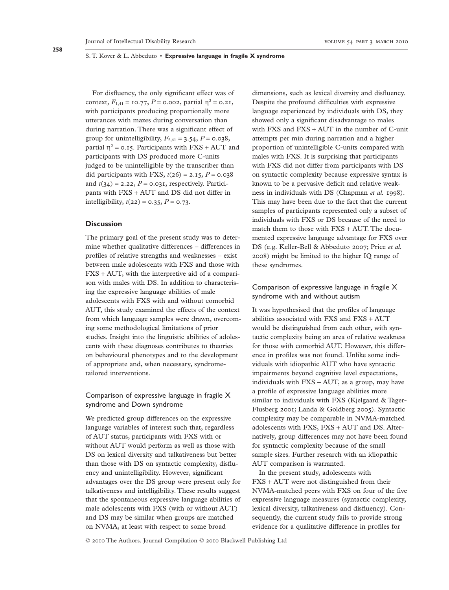For disfluency, the only significant effect was of context,  $F_{1,41}$  = 10.77,  $P$  = 0.002, partial  $\eta^2$  = 0.21, with participants producing proportionally more utterances with mazes during conversation than during narration. There was a significant effect of group for unintelligibility,  $F_{2,41} = 3.54$ ,  $P = 0.038$ , partial  $\eta^2$  = 0.15. Participants with FXS + AUT and participants with DS produced more C-units judged to be unintelligible by the transcriber than did participants with FXS,  $t(26) = 2.15$ ,  $P = 0.038$ and  $t(34) = 2.22$ ,  $P = 0.031$ , respectively. Participants with FXS + AUT and DS did not differ in intelligibility,  $t(22) = 0.35$ ,  $P = 0.73$ .

## **Discussion**

The primary goal of the present study was to determine whether qualitative differences – differences in profiles of relative strengths and weaknesses – exist between male adolescents with FXS and those with FXS + AUT, with the interpretive aid of a comparison with males with DS. In addition to characterising the expressive language abilities of male adolescents with FXS with and without comorbid AUT, this study examined the effects of the context from which language samples were drawn, overcoming some methodological limitations of prior studies. Insight into the linguistic abilities of adolescents with these diagnoses contributes to theories on behavioural phenotypes and to the development of appropriate and, when necessary, syndrometailored interventions.

# Comparison of expressive language in fragile X syndrome and Down syndrome

We predicted group differences on the expressive language variables of interest such that, regardless of AUT status, participants with FXS with or without AUT would perform as well as those with DS on lexical diversity and talkativeness but better than those with DS on syntactic complexity, disfluency and unintelligibility. However, significant advantages over the DS group were present only for talkativeness and intelligibility. These results suggest that the spontaneous expressive language abilities of male adolescents with FXS (with or without AUT) and DS may be similar when groups are matched on NVMA, at least with respect to some broad

dimensions, such as lexical diversity and disfluency. Despite the profound difficulties with expressive language experienced by individuals with DS, they showed only a significant disadvantage to males with FXS and  $FXS + AUT$  in the number of C-unit attempts per min during narration and a higher proportion of unintelligible C-units compared with males with FXS. It is surprising that participants with FXS did not differ from participants with DS on syntactic complexity because expressive syntax is known to be a pervasive deficit and relative weakness in individuals with DS (Chapman *et al.* 1998). This may have been due to the fact that the current samples of participants represented only a subset of individuals with FXS or DS because of the need to match them to those with FXS + AUT. The documented expressive language advantage for FXS over DS (e.g. Keller-Bell & Abbeduto 2007; Price *et al.* 2008) might be limited to the higher IQ range of these syndromes.

# Comparison of expressive language in fragile X syndrome with and without autism

It was hypothesised that the profiles of language abilities associated with FXS and FXS + AUT would be distinguished from each other, with syntactic complexity being an area of relative weakness for those with comorbid AUT. However, this difference in profiles was not found. Unlike some individuals with idiopathic AUT who have syntactic impairments beyond cognitive level expectations, individuals with  $FXS + AUT$ , as a group, may have a profile of expressive language abilities more similar to individuals with FXS (Kjelgaard & Tager-Flusberg 2001; Landa & Goldberg 2005). Syntactic complexity may be comparable in NVMA-matched adolescents with FXS, FXS + AUT and DS. Alternatively, group differences may not have been found for syntactic complexity because of the small sample sizes. Further research with an idiopathic AUT comparison is warranted.

In the present study, adolescents with FXS + AUT were not distinguished from their NVMA-matched peers with FXS on four of the five expressive language measures (syntactic complexity, lexical diversity, talkativeness and disfluency). Consequently, the current study fails to provide strong evidence for a qualitative difference in profiles for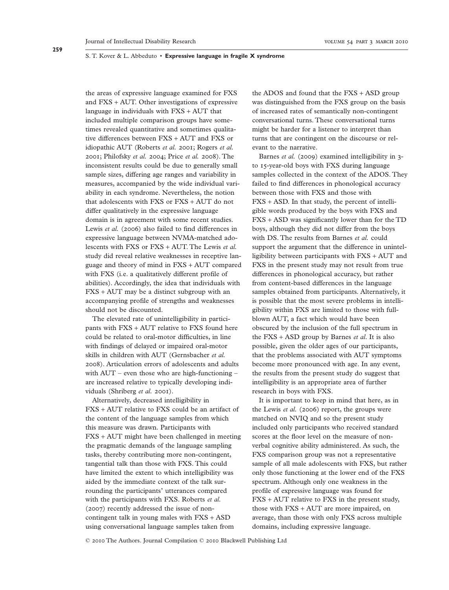the areas of expressive language examined for FXS and FXS + AUT. Other investigations of expressive language in individuals with  $\text{FXS} + \text{AUT}$  that included multiple comparison groups have sometimes revealed quantitative and sometimes qualitative differences between FXS + AUT and FXS or idiopathic AUT (Roberts *et al.* 2001; Rogers *et al.* 2001; Philofsky *et al.* 2004; Price *et al.* 2008). The inconsistent results could be due to generally small sample sizes, differing age ranges and variability in measures, accompanied by the wide individual variability in each syndrome. Nevertheless, the notion that adolescents with FXS or FXS + AUT do not differ qualitatively in the expressive language domain is in agreement with some recent studies. Lewis et al. (2006) also failed to find differences in expressive language between NVMA-matched adolescents with FXS or FXS + AUT. The Lewis *et al.* study did reveal relative weaknesses in receptive language and theory of mind in FXS + AUT compared with FXS (i.e. a qualitatively different profile of abilities). Accordingly, the idea that individuals with FXS + AUT may be a distinct subgroup with an accompanying profile of strengths and weaknesses should not be discounted.

The elevated rate of unintelligibility in participants with FXS + AUT relative to FXS found here could be related to oral-motor difficulties, in line with findings of delayed or impaired oral-motor skills in children with AUT (Gernsbacher *et al.* 2008). Articulation errors of adolescents and adults with  $AUT$  – even those who are high-functioning – are increased relative to typically developing individuals (Shriberg *et al.* 2001).

Alternatively, decreased intelligibility in FXS + AUT relative to FXS could be an artifact of the content of the language samples from which this measure was drawn. Participants with FXS + AUT might have been challenged in meeting the pragmatic demands of the language sampling tasks, thereby contributing more non-contingent, tangential talk than those with FXS. This could have limited the extent to which intelligibility was aided by the immediate context of the talk surrounding the participants' utterances compared with the participants with FXS. Roberts *et al.* (2007) recently addressed the issue of noncontingent talk in young males with FXS + ASD using conversational language samples taken from

the ADOS and found that the FXS + ASD group was distinguished from the FXS group on the basis of increased rates of semantically non-contingent conversational turns. These conversational turns might be harder for a listener to interpret than turns that are contingent on the discourse or relevant to the narrative.

Barnes *et al.* (2009) examined intelligibility in 3 to 15-year-old boys with FXS during language samples collected in the context of the ADOS. They failed to find differences in phonological accuracy between those with FXS and those with FXS + ASD. In that study, the percent of intelligible words produced by the boys with FXS and FXS + ASD was significantly lower than for the TD boys, although they did not differ from the boys with DS. The results from Barnes *et al.* could support the argument that the difference in unintelligibility between participants with FXS + AUT and FXS in the present study may not result from true differences in phonological accuracy, but rather from content-based differences in the language samples obtained from participants. Alternatively, it is possible that the most severe problems in intelligibility within FXS are limited to those with fullblown AUT, a fact which would have been obscured by the inclusion of the full spectrum in the FXS + ASD group by Barnes *et al*. It is also possible, given the older ages of our participants, that the problems associated with AUT symptoms become more pronounced with age. In any event, the results from the present study do suggest that intelligibility is an appropriate area of further research in boys with FXS.

It is important to keep in mind that here, as in the Lewis *et al.* (2006) report, the groups were matched on NVIQ and so the present study included only participants who received standard scores at the floor level on the measure of nonverbal cognitive ability administered. As such, the FXS comparison group was not a representative sample of all male adolescents with FXS, but rather only those functioning at the lower end of the FXS spectrum. Although only one weakness in the profile of expressive language was found for FXS + AUT relative to FXS in the present study, those with FXS + AUT are more impaired, on average, than those with only FXS across multiple domains, including expressive language.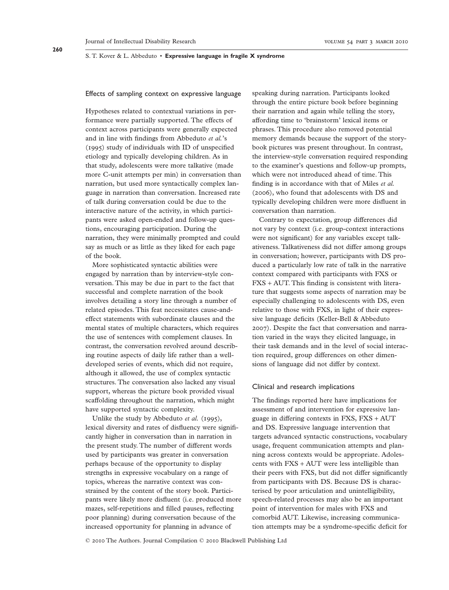# Effects of sampling context on expressive language

Hypotheses related to contextual variations in performance were partially supported. The effects of context across participants were generally expected and in line with findings from Abbeduto *et al.*'s (1995) study of individuals with ID of unspecified etiology and typically developing children. As in that study, adolescents were more talkative (made more C-unit attempts per min) in conversation than narration, but used more syntactically complex language in narration than conversation. Increased rate of talk during conversation could be due to the interactive nature of the activity, in which participants were asked open-ended and follow-up questions, encouraging participation. During the narration, they were minimally prompted and could say as much or as little as they liked for each page of the book.

More sophisticated syntactic abilities were engaged by narration than by interview-style conversation. This may be due in part to the fact that successful and complete narration of the book involves detailing a story line through a number of related episodes. This feat necessitates cause-andeffect statements with subordinate clauses and the mental states of multiple characters, which requires the use of sentences with complement clauses. In contrast, the conversation revolved around describing routine aspects of daily life rather than a welldeveloped series of events, which did not require, although it allowed, the use of complex syntactic structures. The conversation also lacked any visual support, whereas the picture book provided visual scaffolding throughout the narration, which might have supported syntactic complexity.

Unlike the study by Abbeduto *et al.* (1995), lexical diversity and rates of disfluency were significantly higher in conversation than in narration in the present study. The number of different words used by participants was greater in conversation perhaps because of the opportunity to display strengths in expressive vocabulary on a range of topics, whereas the narrative context was constrained by the content of the story book. Participants were likely more disfluent (i.e. produced more mazes, self-repetitions and filled pauses, reflecting poor planning) during conversation because of the increased opportunity for planning in advance of

speaking during narration. Participants looked through the entire picture book before beginning their narration and again while telling the story, affording time to 'brainstorm' lexical items or phrases. This procedure also removed potential memory demands because the support of the storybook pictures was present throughout. In contrast, the interview-style conversation required responding to the examiner's questions and follow-up prompts, which were not introduced ahead of time. This finding is in accordance with that of Miles *et al.* (2006), who found that adolescents with DS and typically developing children were more disfluent in conversation than narration.

Contrary to expectation, group differences did not vary by context (i.e. group-context interactions were not significant) for any variables except talkativeness. Talkativeness did not differ among groups in conversation; however, participants with DS produced a particularly low rate of talk in the narrative context compared with participants with FXS or FXS + AUT. This finding is consistent with literature that suggests some aspects of narration may be especially challenging to adolescents with DS, even relative to those with FXS, in light of their expressive language deficits (Keller-Bell & Abbeduto 2007). Despite the fact that conversation and narration varied in the ways they elicited language, in their task demands and in the level of social interaction required, group differences on other dimensions of language did not differ by context.

#### Clinical and research implications

The findings reported here have implications for assessment of and intervention for expressive language in differing contexts in FXS, FXS + AUT and DS. Expressive language intervention that targets advanced syntactic constructions, vocabulary usage, frequent communication attempts and planning across contexts would be appropriate. Adolescents with  $FXS + AUT$  were less intelligible than their peers with FXS, but did not differ significantly from participants with DS. Because DS is characterised by poor articulation and unintelligibility, speech-related processes may also be an important point of intervention for males with FXS and comorbid AUT. Likewise, increasing communication attempts may be a syndrome-specific deficit for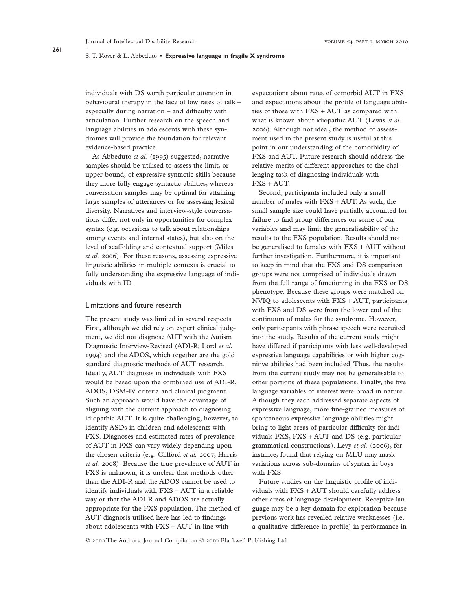individuals with DS worth particular attention in behavioural therapy in the face of low rates of talk – especially during narration – and difficulty with articulation. Further research on the speech and language abilities in adolescents with these syndromes will provide the foundation for relevant evidence-based practice.

As Abbeduto *et al.* (1995) suggested, narrative samples should be utilised to assess the limit, or upper bound, of expressive syntactic skills because they more fully engage syntactic abilities, whereas conversation samples may be optimal for attaining large samples of utterances or for assessing lexical diversity. Narratives and interview-style conversations differ not only in opportunities for complex syntax (e.g. occasions to talk about relationships among events and internal states), but also on the level of scaffolding and contextual support (Miles *et al.* 2006). For these reasons, assessing expressive linguistic abilities in multiple contexts is crucial to fully understanding the expressive language of individuals with ID.

## Limitations and future research

The present study was limited in several respects. First, although we did rely on expert clinical judgment, we did not diagnose AUT with the Autism Diagnostic Interview-Revised (ADI-R; Lord *et al.* 1994) and the ADOS, which together are the gold standard diagnostic methods of AUT research. Ideally, AUT diagnosis in individuals with FXS would be based upon the combined use of ADI-R, ADOS, DSM-IV criteria and clinical judgment. Such an approach would have the advantage of aligning with the current approach to diagnosing idiopathic AUT. It is quite challenging, however, to identify ASDs in children and adolescents with FXS. Diagnoses and estimated rates of prevalence of AUT in FXS can vary widely depending upon the chosen criteria (e.g. Clifford *et al.* 2007; Harris *et al.* 2008). Because the true prevalence of AUT in FXS is unknown, it is unclear that methods other than the ADI-R and the ADOS cannot be used to identify individuals with  $FXS + AUT$  in a reliable way or that the ADI-R and ADOS are actually appropriate for the FXS population. The method of AUT diagnosis utilised here has led to findings about adolescents with FXS + AUT in line with

expectations about rates of comorbid AUT in FXS and expectations about the profile of language abilities of those with FXS + AUT as compared with what is known about idiopathic AUT (Lewis *et al*. 2006). Although not ideal, the method of assessment used in the present study is useful at this point in our understanding of the comorbidity of FXS and AUT. Future research should address the relative merits of different approaches to the challenging task of diagnosing individuals with FXS + AUT.

Second, participants included only a small number of males with FXS + AUT. As such, the small sample size could have partially accounted for failure to find group differences on some of our variables and may limit the generalisability of the results to the FXS population. Results should not be generalised to females with FXS + AUT without further investigation. Furthermore, it is important to keep in mind that the FXS and DS comparison groups were not comprised of individuals drawn from the full range of functioning in the FXS or DS phenotype. Because these groups were matched on NVIQ to adolescents with FXS + AUT, participants with FXS and DS were from the lower end of the continuum of males for the syndrome. However, only participants with phrase speech were recruited into the study. Results of the current study might have differed if participants with less well-developed expressive language capabilities or with higher cognitive abilities had been included. Thus, the results from the current study may not be generalisable to other portions of these populations. Finally, the five language variables of interest were broad in nature. Although they each addressed separate aspects of expressive language, more fine-grained measures of spontaneous expressive language abilities might bring to light areas of particular difficulty for individuals FXS, FXS + AUT and DS (e.g. particular grammatical constructions). Levy *et al.* (2006), for instance, found that relying on MLU may mask variations across sub-domains of syntax in boys with FXS.

Future studies on the linguistic profile of individuals with FXS + AUT should carefully address other areas of language development. Receptive language may be a key domain for exploration because previous work has revealed relative weaknesses (i.e. a qualitative difference in profile) in performance in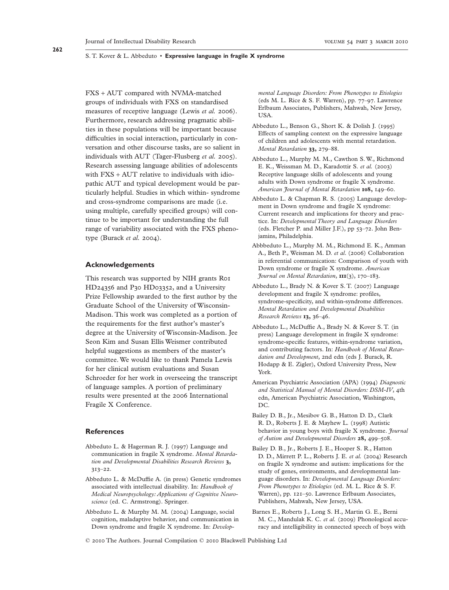FXS + AUT compared with NVMA-matched groups of individuals with FXS on standardised measures of receptive language (Lewis *et al.* 2006). Furthermore, research addressing pragmatic abilities in these populations will be important because difficulties in social interaction, particularly in conversation and other discourse tasks, are so salient in individuals with AUT (Tager-Flusberg *et al.* 2005). Research assessing language abilities of adolescents with FXS + AUT relative to individuals with idiopathic AUT and typical development would be particularly helpful. Studies in which within- syndrome and cross-syndrome comparisons are made (i.e. using multiple, carefully specified groups) will continue to be important for understanding the full range of variability associated with the FXS phenotype (Burack *et al.* 2004).

## **Acknowledgements**

This research was supported by NIH grants R01 HD24356 and P30 HD03352, and a University Prize Fellowship awarded to the first author by the Graduate School of the University of Wisconsin-Madison. This work was completed as a portion of the requirements for the first author's master's degree at the University of Wisconsin-Madison. Jee Seon Kim and Susan Ellis Weismer contributed helpful suggestions as members of the master's committee. We would like to thank Pamela Lewis for her clinical autism evaluations and Susan Schroeder for her work in overseeing the transcript of language samples. A portion of preliminary results were presented at the 2006 International Fragile X Conference.

## **References**

- Abbeduto L. & Hagerman R. J. (1997) Language and communication in fragile X syndrome. *Mental Retardation and Developmental Disabilities Research Reviews* **3,** 313–22.
- Abbeduto L. & McDuffie A. (in press) Genetic syndromes associated with intellectual disability. In: *Handbook of Medical Neuropsychology: Applications of Cognitive Neuroscience* (ed. C. Armstrong). Springer.
- Abbeduto L. & Murphy M. M. (2004) Language, social cognition, maladaptive behavior, and communication in Down syndrome and fragile X syndrome. In: *Develop-*

*mental Language Disorders: From Phenotypes to Etiologies* (eds M. L. Rice & S. F. Warren), pp. 77–97. Lawrence Erlbaum Associates, Publishers, Mahwah, New Jersey, USA.

- Abbeduto L., Benson G., Short K. & Dolish J. (1995) Effects of sampling context on the expressive language of children and adolescents with mental retardation. *Mental Retardation* **33,** 279–88.
- Abbeduto L., Murphy M. M., Cawthon S. W., Richmond E. K., Weissman M. D., Karadottir S. *et al.* (2003) Receptive language skills of adolescents and young adults with Down syndrome or fragile X syndrome. *American Journal of Mental Retardation* **108,** 149–60.
- Abbeduto L. & Chapman R. S. (2005) Language development in Down syndrome and fragile X syndrome: Current research and implications for theory and practice. In: *Developmental Theory and Language Disorders* (eds. Fletcher P. and Miller J.F.), pp 53–72. John Benjamins, Philadelphia.
- Abbbeduto L., Murphy M. M., Richmond E. K., Amman A., Beth P., Weisman M. D. *et al*. (2006) Collaboration in referential communication: Comparison of youth with Down syndrome or fragile X syndrome. *American Journal on Mental Retardation*, **111**(3), 170–183.
- Abbeduto L., Brady N. & Kover S. T. (2007) Language development and fragile X syndrome: profiles, syndrome-specificity, and within-syndrome differences. *Mental Retardation and Developmental Disabilities Research Reviews* **13,** 36–46.
- Abbeduto L., McDuffie A., Brady N. & Kover S. T. (in press) Language development in fragile X syndrome: syndrome-specific features, within-syndrome variation, and contributing factors. In: *Handbook of Mental Retardation and Development*, 2nd edn (eds J. Burack, R. Hodapp & E. Zigler), Oxford University Press, New York.
- American Psychiatric Association (APA) (1994) *Diagnostic and Statistical Manual of Mental Disorders: DSM-IV*, 4th edn, American Psychiatric Association, Washington, DC.
- Bailey D. B., Jr., Mesibov G. B., Hatton D. D., Clark R. D., Roberts J. E. & Mayhew L. (1998) Autistic behavior in young boys with fragile X syndrome. *Journal of Autism and Developmental Disorders* **28,** 499–508.
- Bailey D. B., Jr., Roberts J. E., Hooper S. R., Hatton D. D., Mirrett P. L., Roberts J. E. *et al.* (2004) Research on fragile X syndrome and autism: implications for the study of genes, environments, and developmental language disorders. In: *Developmental Language Disorders: From Phenotypes to Etiologies* (ed. M. L. Rice & S. F. Warren), pp. 121–50. Lawrence Erlbaum Associates, Publishers, Mahwah, New Jersey, USA.
- Barnes E., Roberts J., Long S. H., Martin G. E., Berni M. C., Mandulak K. C. *et al.* (2009) Phonological accuracy and intelligibility in connected speech of boys with
- © 2010 The Authors. Journal Compilation © 2010 Blackwell Publishing Ltd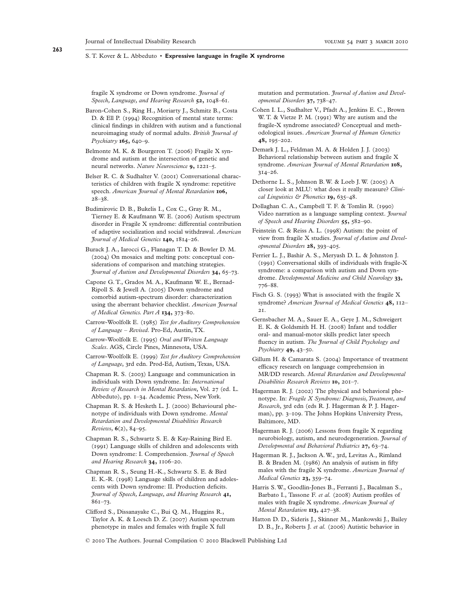fragile X syndrome or Down syndrome. *Journal of Speech, Language, and Hearing Research* **52,** 1048–61.

- Baron-Cohen S., Ring H., Moriarty J., Schmitz B., Costa D. & Ell P. (1994) Recognition of mental state terms: clinical findings in children with autism and a functional neuroimaging study of normal adults. *British Journal of Psychiatry* **165,** 640–9.
- Belmonte M. K. & Bourgeron T. (2006) Fragile X syndrome and autism at the intersection of genetic and neural networks. *Nature Neuroscience* **9,** 1221–5.
- Belser R. C. & Sudhalter V. (2001) Conversational characteristics of children with fragile X syndrome: repetitive speech. *American Journal of Mental Retardation* **106,** 28–38.
- Budimirovic D. B., Bukelis I., Cox C., Gray R. M., Tierney E. & Kaufmann W. E. (2006) Autism spectrum disorder in Fragile X syndrome: differential contribution of adaptive socialization and social withdrawal. *American Journal of Medical Genetics* **140,** 1814–26.
- Burack J. A., Iarocci G., Flanagan T. D. & Bowler D. M. (2004) On mosaics and melting pots: conceptual considerations of comparison and matching strategies. *Journal of Autism and Developmental Disorders* **34,** 65–73.
- Capone G. T., Grados M. A., Kaufmann W. E., Bernad-Ripoll S. & Jewell A. (2005) Down syndrome and comorbid autism-spectrum disorder: characterization using the aberrant behavior checklist. *American Journal of Medical Genetics. Part A* **134,** 373–80.
- Carrow-Woolfolk E. (1985) *Test for Auditory Comprehension of Language – Revised*. Pro-Ed, Austin, TX.
- Carrow-Woolfolk E. (1995) *Oral andWritten Language Scales*. AGS, Circle Pines, Minnesota, USA.
- Carrow-Woolfolk E. (1999) *Test for Auditory Comprehension of Language*, 3rd edn. Prod-Ed, Autism, Texas, USA.
- Chapman R. S. (2003) Language and communication in individuals with Down syndrome. In: *International Review of Research in Mental Retardation*, Vol. 27 (ed. L. Abbeduto), pp. 1–34. Academic Press, New York.
- Chapman R. S. & Hesketh L. J. (2000) Behavioural phenotype of individuals with Down syndrome. *Mental Retardation and Developmental Disabilities Research Reviews*, **6**(2), 84–95.
- Chapman R. S., Schwartz S. E. & Kay-Raining Bird E. (1991) Language skills of children and adolescents with Down syndrome: I. Comprehension. *Journal of Speech and Hearing Research* **34,** 1106–20.
- Chapman R. S., Seung H.-K., Schwartz S. E. & Bird E. K.-R. (1998) Language skills of children and adolescents with Down syndrome: II. Production deficits. *Journal of Speech, Language, and Hearing Research* **41,** 861–73.
- Clifford S., Dissanayake C., Bui Q. M., Huggins R., Taylor A. K. & Loesch D. Z. (2007) Autism spectrum phenotype in males and females with fragile X full

mutation and permutation. *Journal of Autism and Developmental Disorders* **37,** 738–47.

- Cohen I. L., Sudhalter V., Pfadt A., Jenkins E. C., Brown W. T. & Vietze P. M. (1991) Why are autism and the fragile-X syndrome associated? Conceptual and methodological issues. *American Journal of Human Genetics* **48,** 195–202.
- Demark J. L., Feldman M. A. & Holden J. J. (2003) Behavioral relationship between autism and fragile X syndrome. *American Journal of Mental Retardation* **108,** 314–26.
- Dethorne L. S., Johnson B. W. & Loeb J. W. (2005) A closer look at MLU: what does it really measure? *Clinical Linguistics & Phonetics* **19,** 635–48.
- Dollaghan C. A., Campbell T. F. & Tomlin R. (1990) Video narration as a language sampling context. *Journal of Speech and Hearing Disorders* **55,** 582–90.
- Feinstein C. & Reiss A. L. (1998) Autism: the point of view from fragile X studies. *Journal of Autism and Developmental Disorders* **28,** 393–405.
- Ferrier L. J., Bashir A. S., Meryash D. L. & Johnston J. (1991) Conversational skills of individuals with fragile-X syndrome: a comparison with autism and Down syndrome. *Developmental Medicine and Child Neurology* **33,** 776–88.
- Fisch G. S. (1993) What is associated with the fragile X syndrome? *American Journal of Medical Genetics* **48,** 112– 21.
- Gernsbacher M. A., Sauer E. A., Geye J. M., Schweigert E. K. & Goldsmith H. H. (2008) Infant and toddler oral- and manual-motor skills predict later speech fluency in autism. *The Journal of Child Psychology and Psychiatry* **49,** 43–50.
- Gillum H. & Camarata S. (2004) Importance of treatment efficacy research on language comprehension in MR/DD research. *Mental Retardation and Developmental Disabilities Research Reviews* **10,** 201–7.
- Hagerman R. J. (2002) The physical and behavioral phenotype. In: *Fragile X Syndrome: Diagnosis,Treatment, and Research*, 3rd edn (eds R. J. Hagerman & P. J. Hagerman), pp. 3–109. The Johns Hopkins University Press, Baltimore, MD.
- Hagerman R. J. (2006) Lessons from fragile X regarding neurobiology, autism, and neurodegeneration. *Journal of Developmental and Behavioral Pediatrics* **27,** 63–74.
- Hagerman R. J., Jackson A. W., 3rd, Levitas A., Rimland B. & Braden M. (1986) An analysis of autism in fifty males with the fragile X syndrome. *American Journal of Medical Genetics* **23,** 359–74.
- Harris S. W., Goodlin-Jones B., Ferranti J., Bacalman S., Barbato I., Tassone F. *et al.* (2008) Autism profiles of males with fragile X syndrome. *American Journal of Mental Retardation* **113,** 427–38.
- Hatton D. D., Sideris J., Skinner M., Mankowski J., Bailey D. B., Jr., Roberts J. *et al.* (2006) Autistic behavior in
- © 2010 The Authors. Journal Compilation © 2010 Blackwell Publishing Ltd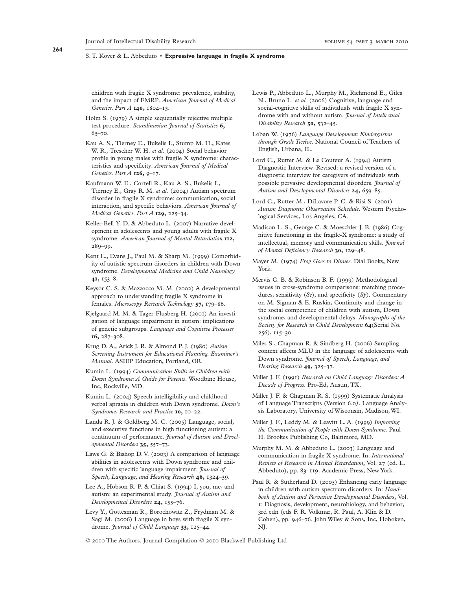children with fragile X syndrome: prevalence, stability, and the impact of FMRP. *American Journal of Medical Genetics. Part A* **140,** 1804–13.

Holm S. (1979) A simple sequentially rejective multiple test procedure. *Scandinavian Journal of Statistics* **6,** 65–70.

- Kau A. S., Tierney E., Bukelis I., Stump M. H., Kates W. R., Trescher W. H. *et al.* (2004) Social behavior profile in young males with fragile X syndrome: characteristics and specificity. *American Journal of Medical Genetics. Part A* **126,** 9–17.
- Kaufmann W. E., Cortell R., Kau A. S., Bukelis I., Tierney E., Gray R. M. *et al.* (2004) Autism spectrum disorder in fragile X syndrome: communication, social interaction, and specific behaviors. *American Journal of Medical Genetics. Part A* **129,** 225–34.
- Keller-Bell Y. D. & Abbeduto L. (2007) Narrative development in adolescents and young adults with fragile X syndrome. *American Journal of Mental Retardation* **112,** 289–99.
- Kent L., Evans J., Paul M. & Sharp M. (1999) Comorbidity of autistic spectrum disorders in children with Down syndrome. *Developmental Medicine and Child Neurology* **41,** 153–8.
- Keysor C. S. & Mazzocco M. M. (2002) A developmental approach to understanding fragile X syndrome in females. *Microscopy Research Technology* **57,** 179–86.
- Kjelgaard M. M. & Tager-Flusberg H. (2001) An investigation of language impairment in autism: implications of genetic subgroups. *Language and Cognitive Processes* **16,** 287–308.
- Krug D. A., Arick J. R. & Almond P. J. (1980) *Autism Screening Instrument for Educational Planning. Examiner's Manual*. ASIEP Education, Portland, OR.
- Kumin L. (1994) *Communication Skills in Children with Down Syndrome: A Guide for Parents*. Woodbine House, Inc, Rockville, MD.
- Kumin L. (2004) Speech intelligibility and childhood verbal apraxia in children with Down syndrome. *Down's Syndrome, Research and Practice* **10,** 10–22.
- Landa R. J. & Goldberg M. C. (2005) Language, social, and executive functions in high functioning autism: a continuum of performance. *Journal of Autism and Developmental Disorders* **35,** 557–73.
- Laws G. & Bishop D. V. (2003) A comparison of language abilities in adolescents with Down syndrome and children with specific language impairment. *Journal of Speech, Language, and Hearing Research* **46,** 1324–39.
- Lee A., Hobson R. P. & Chiat S. (1994) I, you, me, and autism: an experimental study. *Journal of Autism and Developmental Disorders* **24,** 155–76.
- Levy Y., Gottesman R., Borochowitz Z., Frydman M. & Sagi M. (2006) Language in boys with fragile X syndrome. *Journal of Child Language* **33,** 125–44.
- Lewis P., Abbeduto L., Murphy M., Richmond E., Giles N., Bruno L. *et al.* (2006) Cognitive, language and social-cognitive skills of individuals with fragile X syndrome with and without autism. *Journal of Intellectual Disability Research* **50,** 532–45.
- Loban W. (1976) *Language Development: Kindergarten through Grade Twelve*. National Council of Teachers of English, Urbana, IL.
- Lord C., Rutter M. & Le Couteur A. (1994) Autism Diagnostic Interview–Revised: a revised version of a diagnostic interview for caregivers of individuals with possible pervasive developmental disorders. *Journal of Autism and Developmental Disorders* **24,** 659–85.
- Lord C., Rutter M., DiLavore P. C. & Risi S. (2001) *Autism Diagnostic Observation Schedule*. Western Psychological Services, Los Angeles, CA.
- Madison L. S., George C. & Moeschler J. B. (1986) Cognitive functioning in the fragile-X syndrome: a study of intellectual, memory and communication skills. *Journal of Mental Deficiency Research* **30,** 129–48.
- Mayer M. (1974) *Frog Goes to Dinner*. Dial Books, New York.
- Mervis C. B. & Robinson B. F. (1999) Methodological issues in cross-syndrome comparisons: matching procedures, sensitivity (*Se*), and specificity (*Sp*). Commentary on M. Sigman & E. Ruskin, Continuity and change in the social competence of children with autism, Down syndrome, and developmental delays. *Monographs of the Society for Research in Child Development* **64**(Serial No. 256), 115–30.
- Miles S., Chapman R. & Sindberg H. (2006) Sampling context affects MLU in the language of adolescents with Down syndrome. *Journal of Speech, Language, and Hearing Research* **49,** 325–37.
- Miller J. F. (1991) *Research on Child Language Disorders: A Decade of Progress*. Pro-Ed, Austin, TX.
- Miller J. F. & Chapman R. S. (1999) Systematic Analysis of Language Transcripts (Version 6.0*)*. Language Analysis Laboratory, University of Wisconsin, Madison, WI.
- Miller J. F., Leddy M. & Leavitt L. A. (1999) *Improving the Communication of People with Down Syndrome*. Paul H. Brookes Publishing Co, Baltimore, MD.
- Murphy M. M. & Abbeduto L. (2003) Language and communication in fragile X syndrome. In: *International Review of Research in Mental Retardation*, Vol. 27 (ed. L. Abbeduto), pp. 83–119. Academic Press, New York.
- Paul R. & Sutherland D. (2005) Enhancing early language in children with autism spectrum disorders. In: *Handbook of Autism and Pervasive Developmental Disorders*, Vol. 1: Diagnosis, development, neurobiology, and behavior, 3rd edn (eds F. R. Volkmar, R. Paul, A. Klin & D. Cohen), pp. 946–76. John Wiley & Sons, Inc, Hoboken, NJ.
- © 2010 The Authors. Journal Compilation © 2010 Blackwell Publishing Ltd